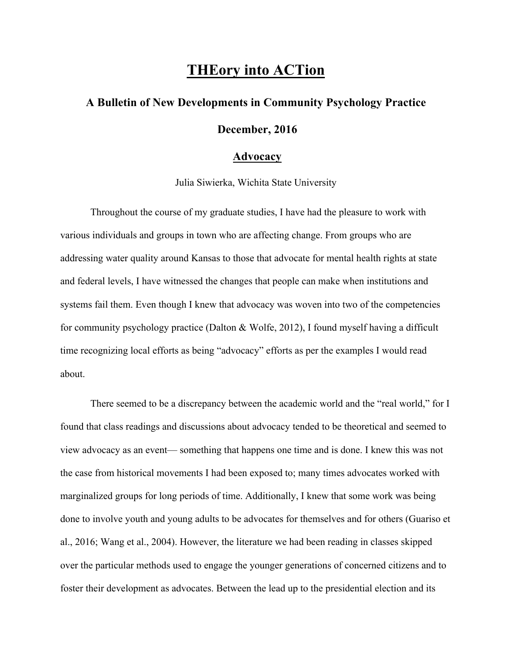## **THEory into ACTion**

## **A Bulletin of New Developments in Community Psychology Practice December, 2016**

## **Advocacy**

Julia Siwierka, Wichita State University

Throughout the course of my graduate studies, I have had the pleasure to work with various individuals and groups in town who are affecting change. From groups who are addressing water quality around Kansas to those that advocate for mental health rights at state and federal levels, I have witnessed the changes that people can make when institutions and systems fail them. Even though I knew that advocacy was woven into two of the competencies for community psychology practice (Dalton & Wolfe, 2012), I found myself having a difficult time recognizing local efforts as being "advocacy" efforts as per the examples I would read about.

There seemed to be a discrepancy between the academic world and the "real world," for I found that class readings and discussions about advocacy tended to be theoretical and seemed to view advocacy as an event— something that happens one time and is done. I knew this was not the case from historical movements I had been exposed to; many times advocates worked with marginalized groups for long periods of time. Additionally, I knew that some work was being done to involve youth and young adults to be advocates for themselves and for others (Guariso et al., 2016; Wang et al., 2004). However, the literature we had been reading in classes skipped over the particular methods used to engage the younger generations of concerned citizens and to foster their development as advocates. Between the lead up to the presidential election and its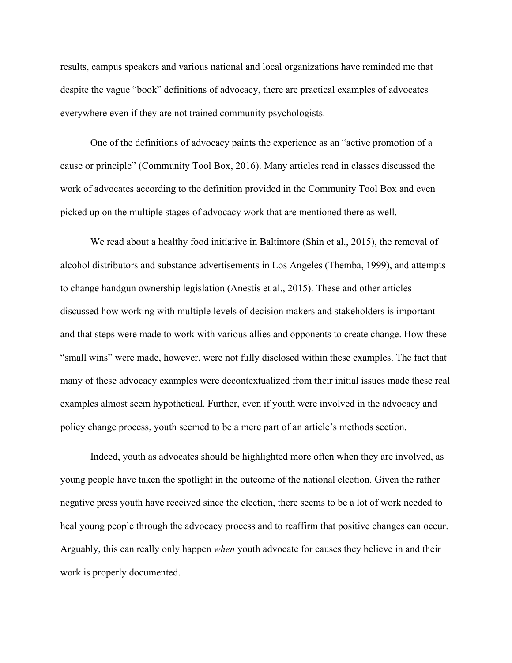results, campus speakers and various national and local organizations have reminded me that despite the vague "book" definitions of advocacy, there are practical examples of advocates everywhere even if they are not trained community psychologists.

One of the definitions of advocacy paints the experience as an "active promotion of a cause or principle" (Community Tool Box, 2016). Many articles read in classes discussed the work of advocates according to the definition provided in the Community Tool Box and even picked up on the multiple stages of advocacy work that are mentioned there as well.

We read about a healthy food initiative in Baltimore (Shin et al., 2015), the removal of alcohol distributors and substance advertisements in Los Angeles (Themba, 1999), and attempts to change handgun ownership legislation (Anestis et al., 2015). These and other articles discussed how working with multiple levels of decision makers and stakeholders is important and that steps were made to work with various allies and opponents to create change. How these "small wins" were made, however, were not fully disclosed within these examples. The fact that many of these advocacy examples were decontextualized from their initial issues made these real examples almost seem hypothetical. Further, even if youth were involved in the advocacy and policy change process, youth seemed to be a mere part of an article's methods section.

Indeed, youth as advocates should be highlighted more often when they are involved, as young people have taken the spotlight in the outcome of the national election. Given the rather negative press youth have received since the election, there seems to be a lot of work needed to heal young people through the advocacy process and to reaffirm that positive changes can occur. Arguably, this can really only happen *when* youth advocate for causes they believe in and their work is properly documented.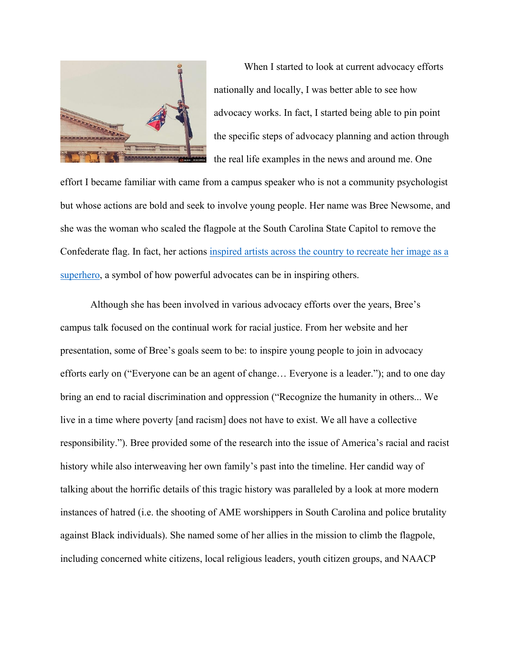

When I started to look at current advocacy efforts nationally and locally, I was better able to see how advocacy works. In fact, I started being able to pin point the specific steps of advocacy planning and action through the real life examples in the news and around me. One

effort I became familiar with came from a campus speaker who is not a community psychologist but whose actions are bold and seek to involve young people. Her name was Bree Newsome, and she was the woman who scaled the flagpole at the South Carolina State Capitol to remove the Confederate flag. In fact, her actions inspired artists across the country to recreate her image as a superhero, a symbol of how powerful advocates can be in inspiring others.

Although she has been involved in various advocacy efforts over the years, Bree's campus talk focused on the continual work for racial justice. From her website and her presentation, some of Bree's goals seem to be: to inspire young people to join in advocacy efforts early on ("Everyone can be an agent of change… Everyone is a leader."); and to one day bring an end to racial discrimination and oppression ("Recognize the humanity in others... We live in a time where poverty [and racism] does not have to exist. We all have a collective responsibility."). Bree provided some of the research into the issue of America's racial and racist history while also interweaving her own family's past into the timeline. Her candid way of talking about the horrific details of this tragic history was paralleled by a look at more modern instances of hatred (i.e. the shooting of AME worshippers in South Carolina and police brutality against Black individuals). She named some of her allies in the mission to climb the flagpole, including concerned white citizens, local religious leaders, youth citizen groups, and NAACP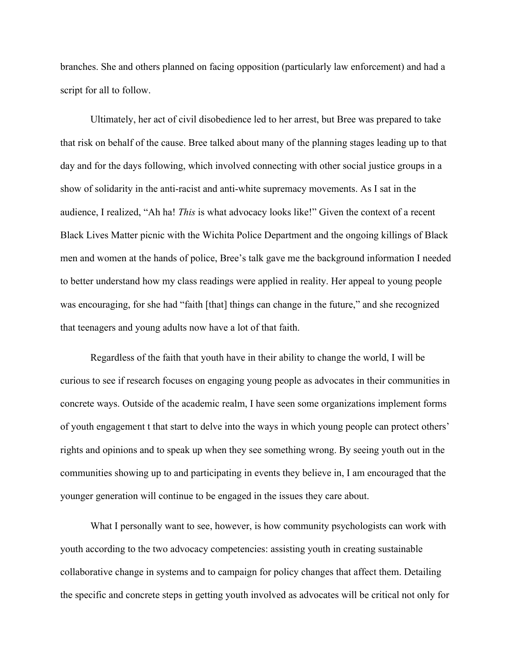branches. She and others planned on facing opposition (particularly law enforcement) and had a script for all to follow.

Ultimately, her act of civil disobedience led to her arrest, but Bree was prepared to take that risk on behalf of the cause. Bree talked about many of the planning stages leading up to that day and for the days following, which involved connecting with other social justice groups in a show of solidarity in the anti-racist and anti-white supremacy movements. As I sat in the audience, I realized, "Ah ha! *This* is what advocacy looks like!" Given the context of a recent Black Lives Matter picnic with the Wichita Police Department and the ongoing killings of Black men and women at the hands of police, Bree's talk gave me the background information I needed to better understand how my class readings were applied in reality. Her appeal to young people was encouraging, for she had "faith [that] things can change in the future," and she recognized that teenagers and young adults now have a lot of that faith.

Regardless of the faith that youth have in their ability to change the world, I will be curious to see if research focuses on engaging young people as advocates in their communities in concrete ways. Outside of the academic realm, I have seen some organizations implement forms of youth engagement t that start to delve into the ways in which young people can protect others' rights and opinions and to speak up when they see something wrong. By seeing youth out in the communities showing up to and participating in events they believe in, I am encouraged that the younger generation will continue to be engaged in the issues they care about.

What I personally want to see, however, is how community psychologists can work with youth according to the two advocacy competencies: assisting youth in creating sustainable collaborative change in systems and to campaign for policy changes that affect them. Detailing the specific and concrete steps in getting youth involved as advocates will be critical not only for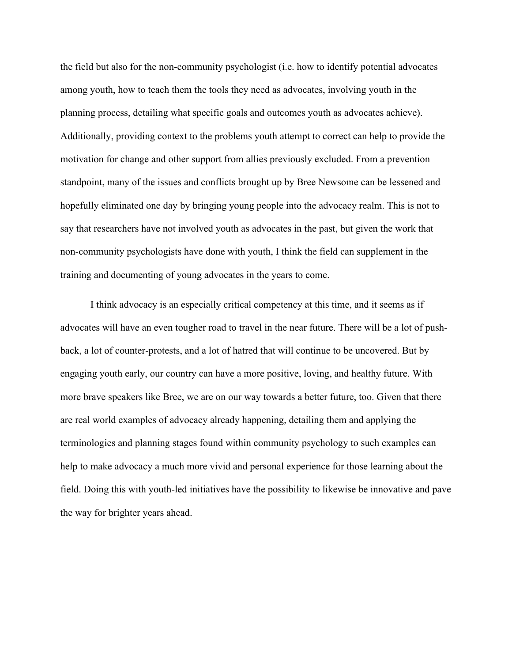the field but also for the non-community psychologist (i.e. how to identify potential advocates among youth, how to teach them the tools they need as advocates, involving youth in the planning process, detailing what specific goals and outcomes youth as advocates achieve). Additionally, providing context to the problems youth attempt to correct can help to provide the motivation for change and other support from allies previously excluded. From a prevention standpoint, many of the issues and conflicts brought up by Bree Newsome can be lessened and hopefully eliminated one day by bringing young people into the advocacy realm. This is not to say that researchers have not involved youth as advocates in the past, but given the work that non-community psychologists have done with youth, I think the field can supplement in the training and documenting of young advocates in the years to come.

I think advocacy is an especially critical competency at this time, and it seems as if advocates will have an even tougher road to travel in the near future. There will be a lot of pushback, a lot of counter-protests, and a lot of hatred that will continue to be uncovered. But by engaging youth early, our country can have a more positive, loving, and healthy future. With more brave speakers like Bree, we are on our way towards a better future, too. Given that there are real world examples of advocacy already happening, detailing them and applying the terminologies and planning stages found within community psychology to such examples can help to make advocacy a much more vivid and personal experience for those learning about the field. Doing this with youth-led initiatives have the possibility to likewise be innovative and pave the way for brighter years ahead.